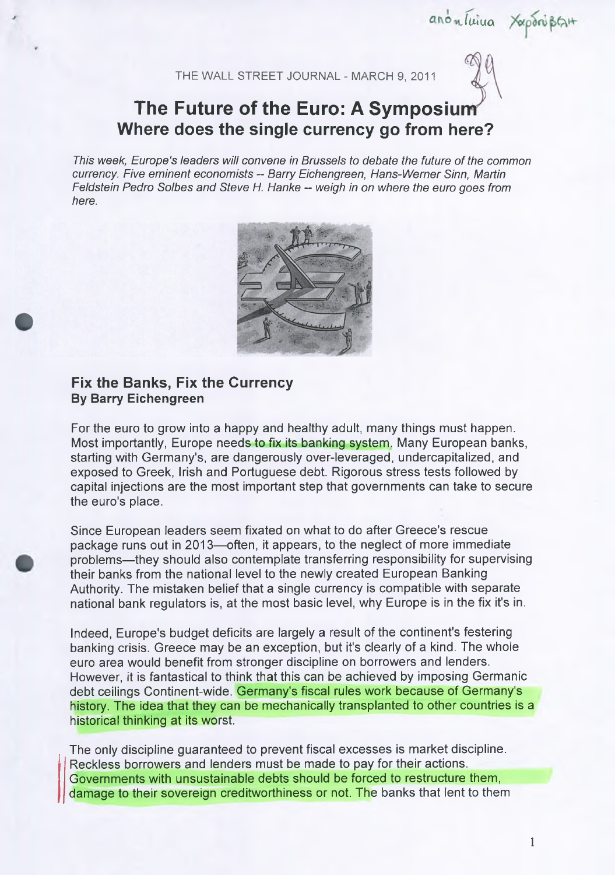anon. Iuiua *Xapóni* prant

THE WALL STREET JOURNAL - MARCH 9, 2011



# **The Future of the Euro: A Symposiu Where does the single currency go from here?**

*This week, Europe's leaders will convene in Brussels to debate the future of the common currency. Five eminent economists* - *Barry Eichengreen, Hans-Werner Sinn, Martin Feldstein Pedro Solbes and Steve FI. Flanke - weigh in on where the euro goes from here.*



#### **Fix the Banks, Fix the Currency By Barry Eichengreen**

For the euro to grow into a happy and healthy adult, many things must happen. Most importantly, Europe needs to fix its banking system. Many European banks, starting with Germany's, are dangerously over-leveraged, undercapitalized, and exposed to Greek, Irish and Portuguese debt. Rigorous stress tests followed by capital injections are the most important step that governments can take to secure the euro's place.

Since European leaders seem fixated on what to do after Greece's rescue package runs out in 2013—often, it appears, to the neglect of more immediate problems—they should also contemplate transferring responsibility for supervising their banks from the national level to the newly created European Banking Authority. The mistaken belief that a single currency is compatible with separate national bank regulators is, at the most basic level, why Europe is in the fix it's in.

Indeed, Europe's budget deficits are largely a result of the continent's festering banking crisis. Greece may be an exception, but it's clearly of a kind. The whole euro area would benefit from stronger discipline on borrowers and lenders. However, it is fantastical to think that this can be achieved by imposing Germanic debt ceilings Continent-wide. Germany's fiscal rules work because of Germany's history. The idea that they can be mechanically transplanted to other countries is a historical thinking at its worst.

The only discipline guaranteed to prevent fiscal excesses is market discipline. Reckless borrowers and lenders must be made to pay for their actions. Governments with unsustainable debts should be forced to restructure them, damage to their sovereign creditworthiness or not. The banks that lent to them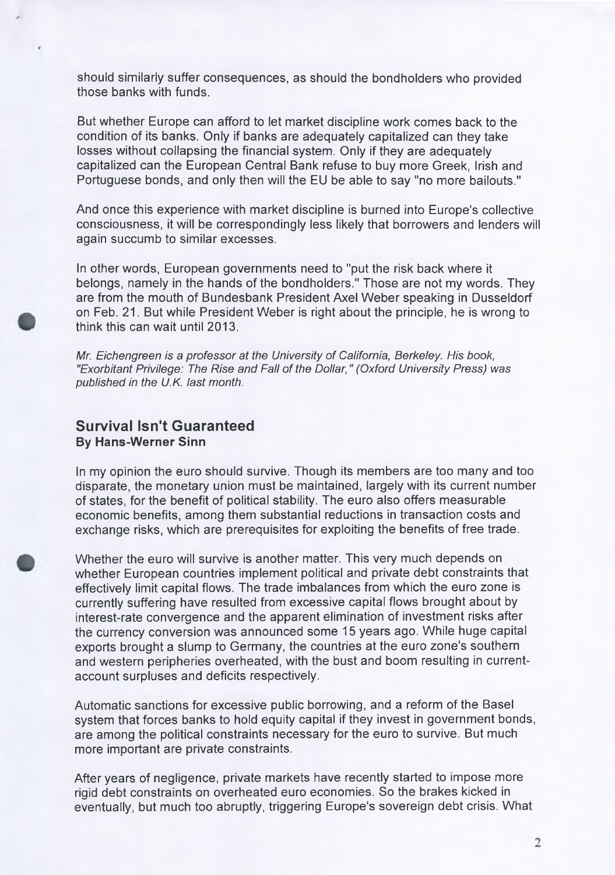should similarly suffer consequences, as should the bondholders who provided those banks with funds.

But whether Europe can afford to let market discipline work comes back to the condition of its banks. Only if banks are adequately capitalized can they take losses without collapsing the financial system. Only if they are adequately capitalized can the European Central Bank refuse to buy more Greek, Irish and Portuguese bonds, and only then will the EU be able to say "no more bailouts."

And once this experience with market discipline is burned into Europe's collective consciousness, it will be correspondingly less likely that borrowers and lenders will again succumb to similar excesses.

In other words, European governments need to "put the risk back where it belongs, namely in the hands of the bondholders." Those are not my words. They are from the mouth of Bundesbank President Axel Weber speaking in Dusseldorf on Feb. 21. But while President Weber is right about the principle, he is wrong to think this can wait until 2013.

*Mr. Eichengreen is a professor at the University of California, Berkeley. His book, "Exorbitant Privilege: The Rise and Fall of the Dollar," (Oxford University Press)* was *published in the U.K. last month.*

# **Survival Isn't Guaranteed By Hans-Werner Sinn**

In my opinion the euro should survive. Though its members are too many and too disparate, the monetary union must be maintained, largely with its current number of states, for the benefit of political stability. The euro also offers measurable economic benefits, among them substantial reductions in transaction costs and exchange risks, which are prerequisites for exploiting the benefits of free trade.

Whether the euro will survive is another matter. This very much depends on whether European countries implement political and private debt constraints that effectively limit capital flows. The trade imbalances from which the euro zone is currently suffering have resulted from excessive capital flows brought about by interest-rate convergence and the apparent elimination of investment risks after the currency conversion was announced some 15 years ago. While huge capital exports brought a slump to Germany, the countries at the euro zone's southern and western peripheries overheated, with the bust and boom resulting in currentaccount surpluses and deficits respectively.

Automatic sanctions for excessive public borrowing, and a reform of the Basel system that forces banks to hold equity capital if they invest in government bonds, are among the political constraints necessary for the euro to survive. But much more important are private constraints.

After years of negligence, private markets have recently started to impose more rigid debt constraints on overheated euro economies. So the brakes kicked in eventually, but much too abruptly, triggering Europe's sovereign debt crisis. What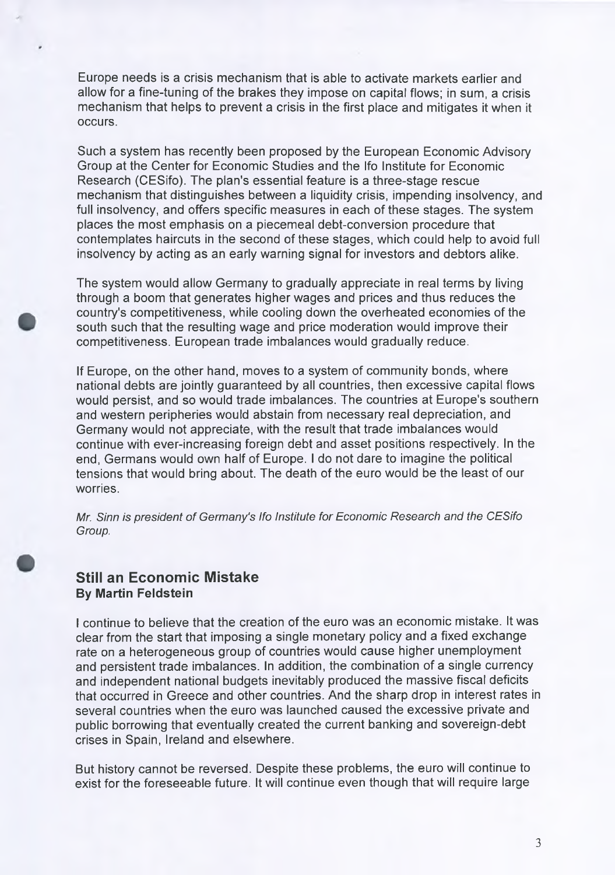Europe needs is a crisis mechanism that is able to activate markets earlier and allow for a fine-tuning of the brakes they impose on capital flows; in sum, a crisis mechanism that helps to prevent a crisis in the first place and mitigates it when it occurs.

Such a system has recently been proposed by the European Economic Advisory Group at the Center for Economic Studies and the Ifo Institute for Economic Research (CESifo). The plan's essential feature is a three-stage rescue mechanism that distinguishes between a liquidity crisis, impending insolvency, and full insolvency, and offers specific measures in each of these stages. The system places the most emphasis on a piecemeal debt-conversion procedure that contemplates haircuts in the second of these stages, which could help to avoid full insolvency by acting as an early warning signal for investors and debtors alike.

The system would allow Germany to gradually appreciate in real terms by living through a boom that generates higher wages and prices and thus reduces the country's competitiveness, while cooling down the overheated economies of the south such that the resulting wage and price moderation would improve their competitiveness. European trade imbalances would gradually reduce.

If Europe, on the other hand, moves to a system of community bonds, where national debts are jointly guaranteed by all countries, then excessive capital flows would persist, and so would trade imbalances. The countries at Europe's southern and western peripheries would abstain from necessary real depreciation, and Germany would not appreciate, with the result that trade imbalances would continue with ever-increasing foreign debt and asset positions respectively. In the end, Germans would own half of Europe. I do not dare to imagine the political tensions that would bring about. The death of the euro would be the least of our worries.

*Mr. Sinn is president of Germany's Ifo Institute for Economic Research and the CESifo Group.*

### **Still an Economic Mistake By Martin Feldstein**

I continue to believe that the creation of the euro was an economic mistake. It was clear from the start that imposing a single monetary policy and a fixed exchange rate on a heterogeneous group of countries would cause higher unemployment and persistent trade imbalances. In addition, the combination of a single currency and independent national budgets inevitably produced the massive fiscal deficits that occurred in Greece and other countries. And the sharp drop in interest rates in several countries when the euro was launched caused the excessive private and public borrowing that eventually created the current banking and sovereign-debt crises in Spain, Ireland and elsewhere.

But history cannot be reversed. Despite these problems, the euro will continue to exist for the foreseeable future. It will continue even though that will require large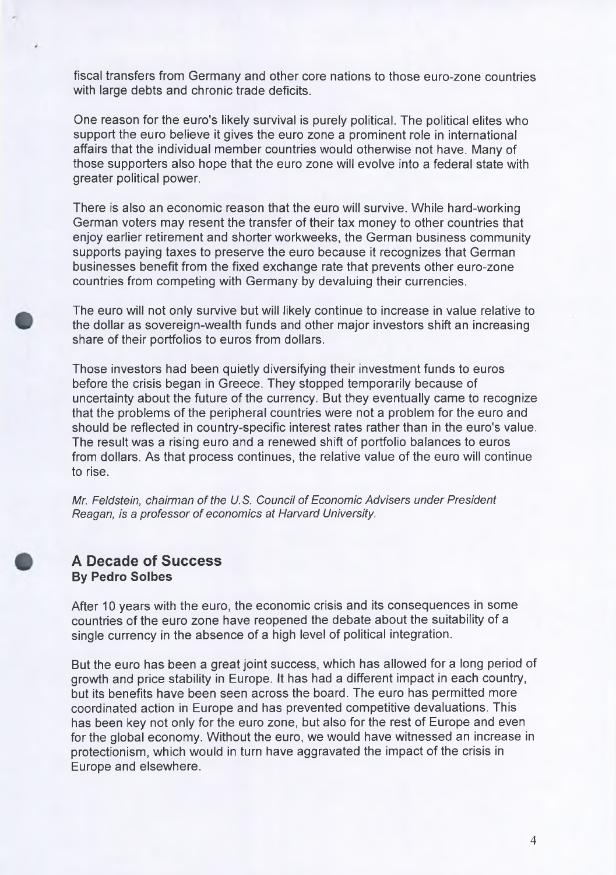fiscal transfers from Germany and other core nations to those euro-zone countries with large debts and chronic trade deficits.

One reason for the euro's likely survival is purely political. The political elites who support the euro believe it gives the euro zone a prominent role in international affairs that the individual member countries would otherwise not have. Many of those supporters also hope that the euro zone will evolve into a federal state with greater political power.

There is also an economic reason that the euro will survive. While hard-working German voters may resent the transfer of their tax money to other countries that enjoy earlier retirement and shorter workweeks, the German business community supports paying taxes to preserve the euro because it recognizes that German businesses benefit from the fixed exchange rate that prevents other euro-zone countries from competing with Germany by devaluing their currencies.

The euro will not only survive but will likely continue to increase in value relative to the dollar as sovereign-wealth funds and other major investors shift an increasing share of their portfolios to euros from dollars.

Those investors had been quietly diversifying their investment funds to euros before the crisis began in Greece. They stopped temporarily because of uncertainty about the future of the currency. But they eventually came to recognize that the problems of the peripheral countries were not a problem for the euro and should be reflected in country-specific interest rates rather than in the euro's value. The result was a rising euro and a renewed shift of portfolio balances to euros from dollars. As that process continues, the relative value of the euro will continue to rise.

*Mr. Feldstein, chairman of the U. S. Council of Economic Advisers under President Reagan, is a professor of economics at Harvard University.*

#### **A Decade of Success By Pedro Solbes**

After 10 years with the euro, the economic crisis and its consequences in some countries of the euro zone have reopened the debate about the suitability of a single currency in the absence of a high level of political integration.

But the euro has been a great joint success, which has allowed for a long period of growth and price stability in Europe. It has had a different impact in each country, but its benefits have been seen across the board. The euro has permitted more coordinated action in Europe and has prevented competitive devaluations. This has been key not only for the euro zone, but also for the rest of Europe and even for the global economy. Without the euro, we would have witnessed an increase in protectionism, which would in turn have aggravated the impact of the crisis in Europe and elsewhere.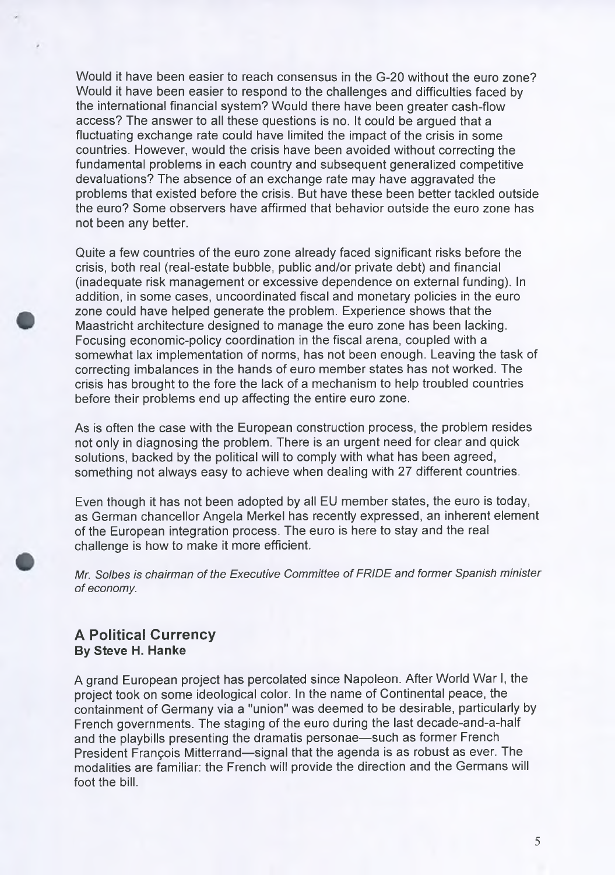Would it have been easier to reach consensus in the G-20 without the euro zone? Would it have been easier to respond to the challenges and difficulties faced by the international financial system? Would there have been greater cash-flow access? The answer to all these questions is no. It could be argued that a fluctuating exchange rate could have limited the impact of the crisis in some countries. However, would the crisis have been avoided without correcting the fundamental problems in each country and subsequent generalized competitive devaluations? The absence of an exchange rate may have aggravated the problems that existed before the crisis. But have these been better tackled outside the euro? Some observers have affirmed that behavior outside the euro zone has not been any better.

Quite a few countries of the euro zone already faced significant risks before the crisis, both real (real-estate bubble, public and/or private debt) and financial (inadequate risk management or excessive dependence on external funding). In addition, in some cases, uncoordinated fiscal and monetary policies in the euro zone could have helped generate the problem. Experience shows that the Maastricht architecture designed to manage the euro zone has been lacking. Focusing economic-policy coordination in the fiscal arena, coupled with a somewhat lax implementation of norms, has not been enough. Leaving the task of correcting imbalances in the hands of euro member states has not worked. The crisis has brought to the fore the lack of a mechanism to help troubled countries before their problems end up affecting the entire euro zone.

As is often the case with the European construction process, the problem resides not only in diagnosing the problem. There is an urgent need for clear and quick solutions, backed by the political will to comply with what has been agreed, something not always easy to achieve when dealing with 27 different countries.

Even though it has not been adopted by all EU member states, the euro is today, as German chancellor Angela Merkel has recently expressed, an inherent element of the European integration process. The euro is here to stay and the real challenge is how to make it more efficient.

*Mr. Solbes is chairman of the Executive Committee of FRIDE and former Spanish minister of economy.*

## **A Political Currency By Steve H. Hanke**

A grand European project has percolated since Napoleon. After World War I, the project took on some ideological color. In the name of Continental peace, the containment of Germany via a "union" was deemed to be desirable, particularly by French governments. The staging of the euro during the last decade-and-a-half and the playbills presenting the dramatis personae—such as former French President François Mitterrand—signal that the agenda is as robust as ever. The modalities are familiar: the French will provide the direction and the Germans will foot the bill.